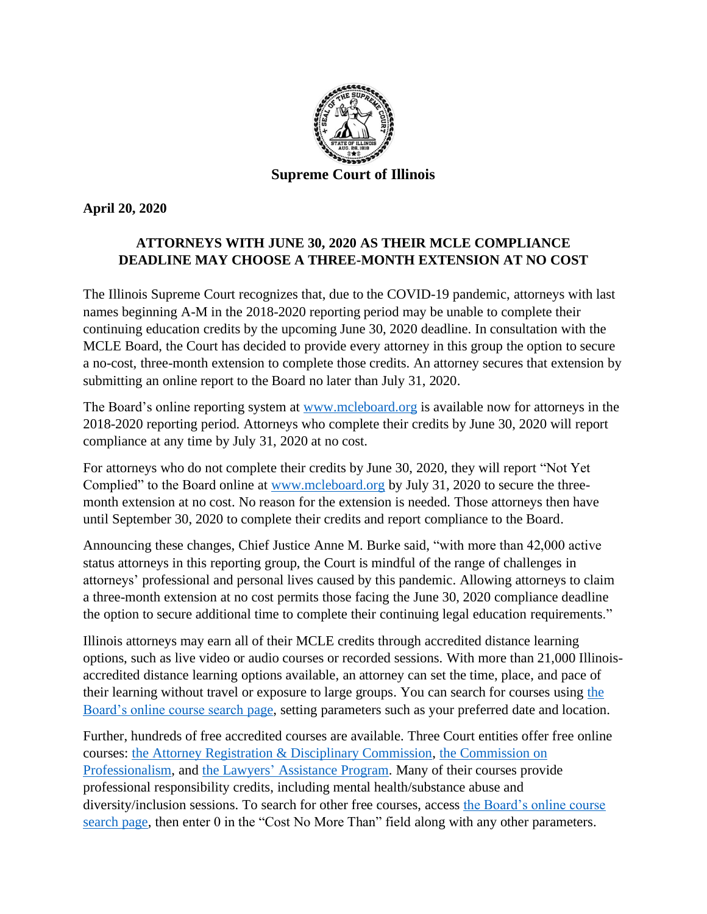

**April 20, 2020**

## **ATTORNEYS WITH JUNE 30, 2020 AS THEIR MCLE COMPLIANCE DEADLINE MAY CHOOSE A THREE-MONTH EXTENSION AT NO COST**

The Illinois Supreme Court recognizes that, due to the COVID-19 pandemic, attorneys with last names beginning A-M in the 2018-2020 reporting period may be unable to complete their continuing education credits by the upcoming June 30, 2020 deadline. In consultation with the MCLE Board, the Court has decided to provide every attorney in this group the option to secure a no-cost, three-month extension to complete those credits. An attorney secures that extension by submitting an online report to the Board no later than July 31, 2020.

The Board's online reporting system at [www.mcleboard.org](http://www.mcleboard.org/) is available now for attorneys in the 2018-2020 reporting period. Attorneys who complete their credits by June 30, 2020 will report compliance at any time by July 31, 2020 at no cost.

For attorneys who do not complete their credits by June 30, 2020, they will report "Not Yet Complied" to the Board online at [www.mcleboard.org](http://www.mcleboard.org/) by July 31, 2020 to secure the threemonth extension at no cost. No reason for the extension is needed. Those attorneys then have until September 30, 2020 to complete their credits and report compliance to the Board.

Announcing these changes, Chief Justice Anne M. Burke said, "with more than 42,000 active status attorneys in this reporting group, the Court is mindful of the range of challenges in attorneys' professional and personal lives caused by this pandemic. Allowing attorneys to claim a three-month extension at no cost permits those facing the June 30, 2020 compliance deadline the option to secure additional time to complete their continuing legal education requirements."

Illinois attorneys may earn all of their MCLE credits through accredited distance learning options, such as live video or audio courses or recorded sessions. With more than 21,000 Illinoisaccredited distance learning options available, an attorney can set the time, place, and pace of their learning without travel or exposure to large groups. You can search for courses using [the](https://pcam.mcleboard.org/publicui/(S(nwr4e3wzkvbenusalkehwcmi))/common/search.aspx)  [Board's online course search page,](https://pcam.mcleboard.org/publicui/(S(nwr4e3wzkvbenusalkehwcmi))/common/search.aspx) setting parameters such as your preferred date and location.

Further, hundreds of free accredited courses are available. Three Court entities offer free online courses: [the Attorney Registration & Disciplinary Commission,](http://iardc.fastcle.com/store/provider/provider09.php) [the Commission on](https://www.2civility.org/programs/cle/free-online-cle/)  [Professionalism,](https://www.2civility.org/programs/cle/free-online-cle/) and the Lawyers' [Assistance Program.](https://illinoislap.org/mental-health-recovery-services/illinois-continuing-legal-education/) Many of their courses provide professional responsibility credits, including mental health/substance abuse and diversity/inclusion sessions. To search for other free courses, access [the Board's online course](https://pcam.mcleboard.org/publicui/(S(nwr4e3wzkvbenusalkehwcmi))/common/search.aspx)  [search page,](https://pcam.mcleboard.org/publicui/(S(nwr4e3wzkvbenusalkehwcmi))/common/search.aspx) then enter 0 in the "Cost No More Than" field along with any other parameters.